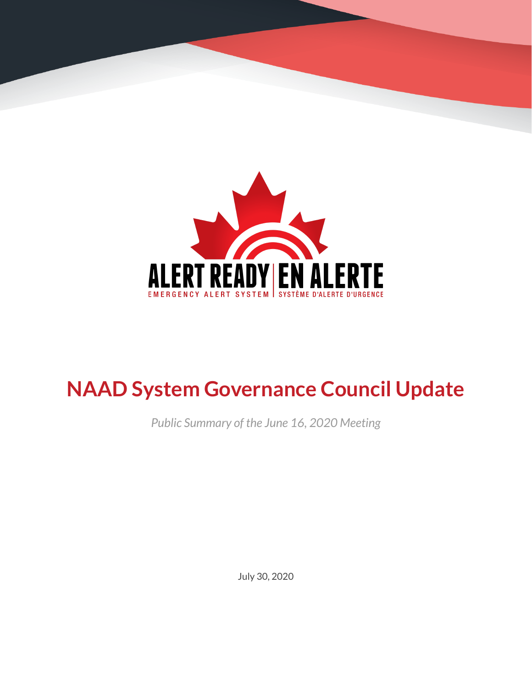

# **NAAD System Governance Council Update**

*Public Summary of the June 16, 2020 Meeting*

July 30, 2020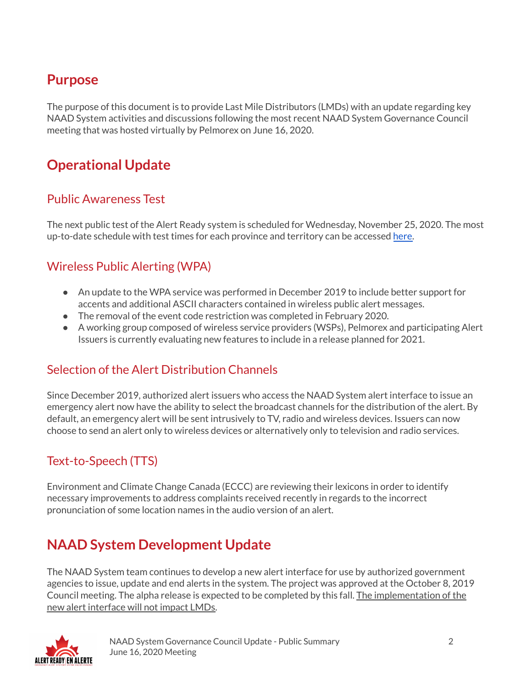### **Purpose**

The purpose of this document is to provide Last Mile Distributors (LMDs) with an update regarding key NAAD System activities and discussions following the most recent NAAD System Governance Council meeting that was hosted virtually by Pelmorex on June 16, 2020.

# **Operational Update**

#### Public Awareness Test

The next public test of the Alert Ready system is scheduled for Wednesday, November 25, 2020. The most up-to-date schedule with test times for each province and territory can be accessed [here.](https://alerts.pelmorex.com/#test-schedule)

#### Wireless Public Alerting (WPA)

- An update to the WPA service was performed in December 2019 to include better support for accents and additional ASCII characters contained in wireless public alert messages.
- The removal of the event code restriction was completed in February 2020.
- A working group composed of wireless service providers (WSPs), Pelmorex and participating Alert Issuers is currently evaluating new features to include in a release planned for 2021.

#### Selection of the Alert Distribution Channels

Since December 2019, authorized alert issuers who access the NAAD System alert interface to issue an emergency alert now have the ability to select the broadcast channels for the distribution of the alert. By default, an emergency alert will be sent intrusively to TV, radio and wireless devices. Issuers can now choose to send an alert only to wireless devices or alternatively only to television and radio services.

#### Text-to-Speech (TTS)

Environment and Climate Change Canada (ECCC) are reviewing their lexicons in order to identify necessary improvements to address complaints received recently in regards to the incorrect pronunciation of some location names in the audio version of an alert.

## **NAAD System Development Update**

The NAAD System team continues to develop a new alert interface for use by authorized government agencies to issue, update and end alerts in the system. The project was approved at the October 8, 2019 Council meeting. The alpha release is expected to be completed by this fall. The implementation of the new alert interface will not impact LMDs.